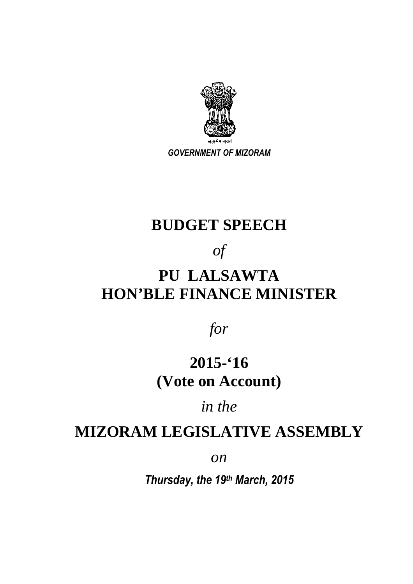

*GOVERNMENT OF MIZORAM* 

### **BUDGET SPEECH**

### *of*

# **PU LALSAWTA HON'BLE FINANCE MINISTER**

*for* 

## **2015-'16 (Vote on Account)**

#### *in the*

#### **MIZORAM LEGISLATIVE ASSEMBLY**

*on*

*Thursday, the 19th March, 2015*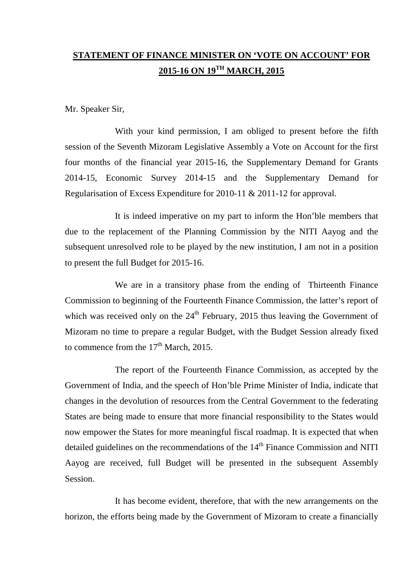#### **STATEMENT OF FINANCE MINISTER ON 'VOTE ON ACCOUNT' FOR 2015-16 ON 19TH MARCH, 2015**

Mr. Speaker Sir,

 With your kind permission, I am obliged to present before the fifth session of the Seventh Mizoram Legislative Assembly a Vote on Account for the first four months of the financial year 2015-16, the Supplementary Demand for Grants 2014-15, Economic Survey 2014-15 and the Supplementary Demand for Regularisation of Excess Expenditure for 2010-11 & 2011-12 for approval.

 It is indeed imperative on my part to inform the Hon'ble members that due to the replacement of the Planning Commission by the NITI Aayog and the subsequent unresolved role to be played by the new institution, I am not in a position to present the full Budget for 2015-16.

 We are in a transitory phase from the ending of Thirteenth Finance Commission to beginning of the Fourteenth Finance Commission, the latter's report of which was received only on the  $24<sup>th</sup>$  February, 2015 thus leaving the Government of Mizoram no time to prepare a regular Budget, with the Budget Session already fixed to commence from the  $17<sup>th</sup>$  March, 2015.

 The report of the Fourteenth Finance Commission, as accepted by the Government of India, and the speech of Hon'ble Prime Minister of India, indicate that changes in the devolution of resources from the Central Government to the federating States are being made to ensure that more financial responsibility to the States would now empower the States for more meaningful fiscal roadmap. It is expected that when detailed guidelines on the recommendations of the 14<sup>th</sup> Finance Commission and NITI Aayog are received, full Budget will be presented in the subsequent Assembly Session.

 It has become evident, therefore, that with the new arrangements on the horizon, the efforts being made by the Government of Mizoram to create a financially